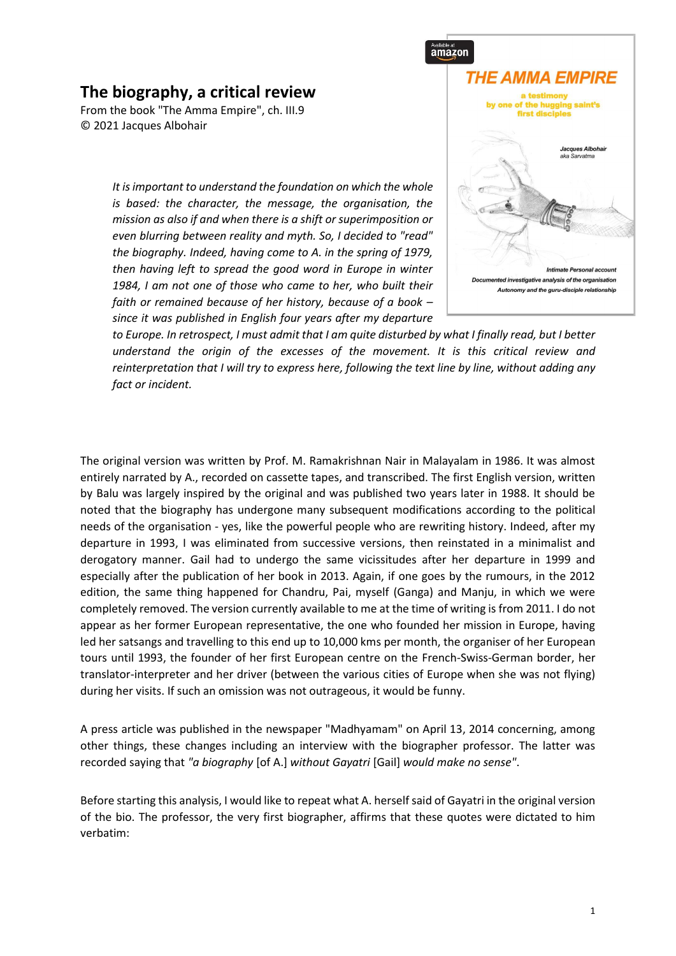## **The biography, a critical review**

From the book "The Amma Empire", ch. III.9 © 2021 Jacques Albohair

> *It is important to understand the foundation on which the whole is based: the character, the message, the organisation, the mission as also if and when there is a shift or superimposition or even blurring between reality and myth. So, I decided to "read" the biography. Indeed, having come to A. in the spring of 1979, then having left to spread the good word in Europe in winter 1984, I am not one of those who came to her, who built their faith or remained because of her history, because of a book – since it was published in English four years after my departure*



*to Europe. In retrospect, I must admit that I am quite disturbed by what I finally read, but I better understand the origin of the excesses of the movement. It is this critical review and reinterpretation that I will try to express here, following the text line by line, without adding any fact or incident.*

The original version was written by Prof. M. Ramakrishnan Nair in Malayalam in 1986. It was almost entirely narrated by A., recorded on cassette tapes, and transcribed. The first English version, written by Balu was largely inspired by the original and was published two years later in 1988. It should be noted that the biography has undergone many subsequent modifications according to the political needs of the organisation - yes, like the powerful people who are rewriting history. Indeed, after my departure in 1993, I was eliminated from successive versions, then reinstated in a minimalist and derogatory manner. Gail had to undergo the same vicissitudes after her departure in 1999 and especially after the publication of her book in 2013. Again, if one goes by the rumours, in the 2012 edition, the same thing happened for Chandru, Pai, myself (Ganga) and Manju, in which we were completely removed. The version currently available to me at the time of writing is from 2011. I do not appear as her former European representative, the one who founded her mission in Europe, having led her satsangs and travelling to this end up to 10,000 kms per month, the organiser of her European tours until 1993, the founder of her first European centre on the French-Swiss-German border, her translator-interpreter and her driver (between the various cities of Europe when she was not flying) during her visits. If such an omission was not outrageous, it would be funny.

A press article was published in the newspaper "Madhyamam" on April 13, 2014 concerning, among other things, these changes including an interview with the biographer professor. The latter was recorded saying that *"a biography* [of A.] *without Gayatri* [Gail] *would make no sense"*.

Before starting this analysis, I would like to repeat what A. herself said of Gayatri in the original version of the bio. The professor, the very first biographer, affirms that these quotes were dictated to him verbatim: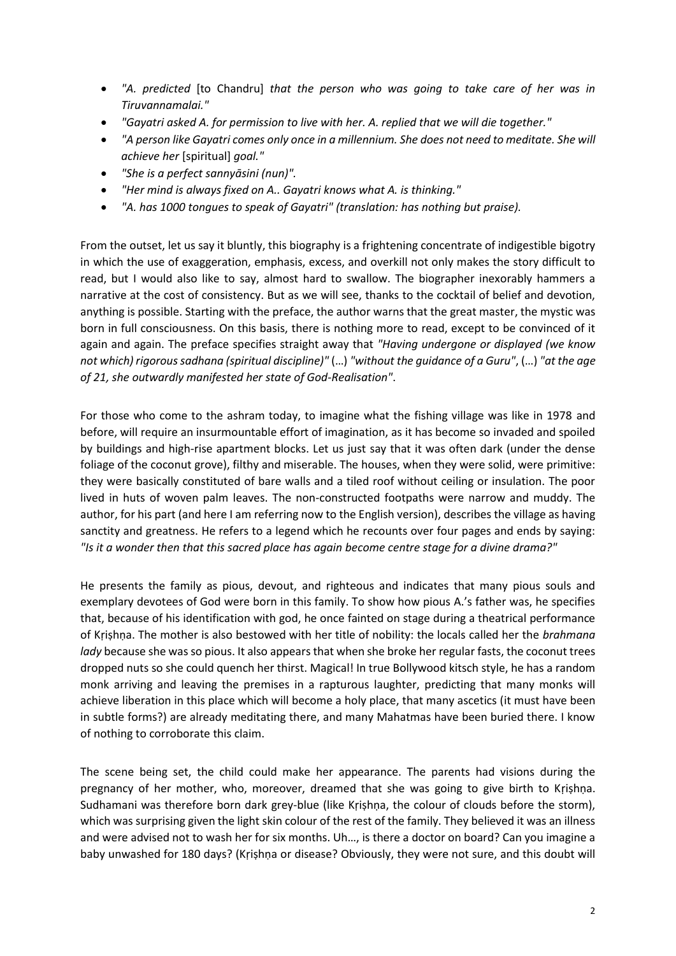- *"A. predicted* [to Chandru] *that the person who was going to take care of her was in Tiruvannamalai."*
- *"Gayatri asked A. for permission to live with her. A. replied that we will die together."*
- *"A person like Gayatri comes only once in a millennium. She does not need to meditate. She will achieve her* [spiritual] *goal."*
- *"She is a perfect sannyāsini (nun)".*
- *"Her mind is always fixed on A.. Gayatri knows what A. is thinking."*
- *"A. has 1000 tongues to speak of Gayatri" (translation: has nothing but praise).*

From the outset, let us say it bluntly, this biography is a frightening concentrate of indigestible bigotry in which the use of exaggeration, emphasis, excess, and overkill not only makes the story difficult to read, but I would also like to say, almost hard to swallow. The biographer inexorably hammers a narrative at the cost of consistency. But as we will see, thanks to the cocktail of belief and devotion, anything is possible. Starting with the preface, the author warns that the great master, the mystic was born in full consciousness. On this basis, there is nothing more to read, except to be convinced of it again and again. The preface specifies straight away that *"Having undergone or displayed (we know not which) rigorous sadhana (spiritual discipline)"* (…) *"without the guidance of a Guru"*, (…) *"at the age of 21, she outwardly manifested her state of God-Realisation"*.

For those who come to the ashram today, to imagine what the fishing village was like in 1978 and before, will require an insurmountable effort of imagination, as it has become so invaded and spoiled by buildings and high-rise apartment blocks. Let us just say that it was often dark (under the dense foliage of the coconut grove), filthy and miserable. The houses, when they were solid, were primitive: they were basically constituted of bare walls and a tiled roof without ceiling or insulation. The poor lived in huts of woven palm leaves. The non-constructed footpaths were narrow and muddy. The author, for his part (and here I am referring now to the English version), describes the village as having sanctity and greatness. He refers to a legend which he recounts over four pages and ends by saying: *"Is it a wonder then that this sacred place has again become centre stage for a divine drama?"*

He presents the family as pious, devout, and righteous and indicates that many pious souls and exemplary devotees of God were born in this family. To show how pious A.'s father was, he specifies that, because of his identification with god, he once fainted on stage during a theatrical performance of Kṛiṣhṇa. The mother is also bestowed with her title of nobility: the locals called her the *brahmana lady* because she was so pious. It also appears that when she broke her regular fasts, the coconut trees dropped nuts so she could quench her thirst. Magical! In true Bollywood kitsch style, he has a random monk arriving and leaving the premises in a rapturous laughter, predicting that many monks will achieve liberation in this place which will become a holy place, that many ascetics (it must have been in subtle forms?) are already meditating there, and many Mahatmas have been buried there. I know of nothing to corroborate this claim.

The scene being set, the child could make her appearance. The parents had visions during the pregnancy of her mother, who, moreover, dreamed that she was going to give birth to Kṛiṣhṇa. Sudhamani was therefore born dark grey-blue (like Kṛiṣhṇa, the colour of clouds before the storm), which was surprising given the light skin colour of the rest of the family. They believed it was an illness and were advised not to wash her for six months. Uh…, is there a doctor on board? Can you imagine a baby unwashed for 180 days? (Kṛiṣhṇa or disease? Obviously, they were not sure, and this doubt will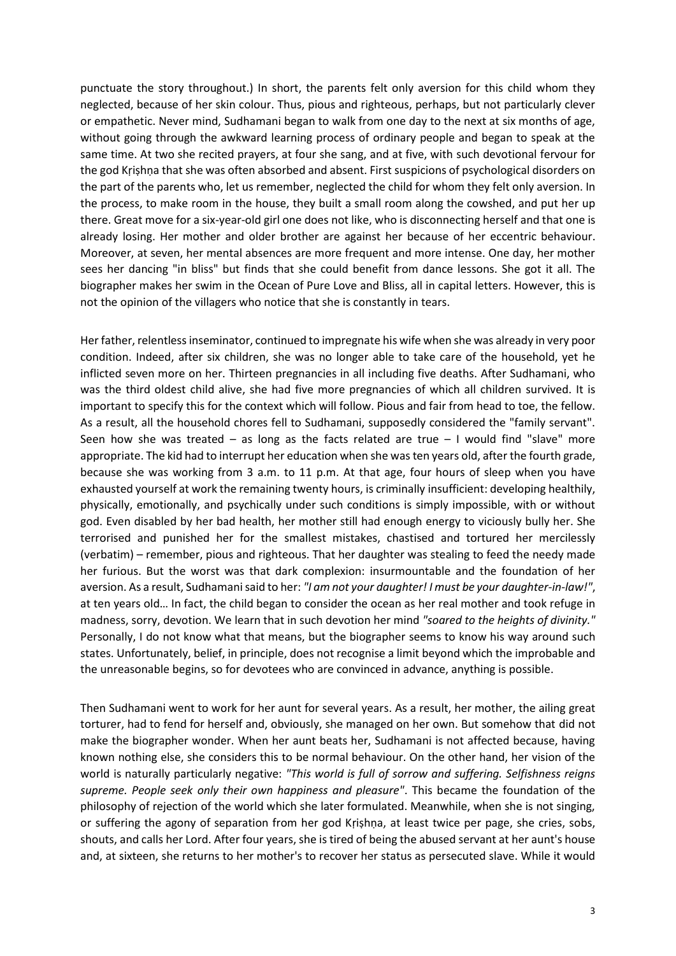punctuate the story throughout.) In short, the parents felt only aversion for this child whom they neglected, because of her skin colour. Thus, pious and righteous, perhaps, but not particularly clever or empathetic. Never mind, Sudhamani began to walk from one day to the next at six months of age, without going through the awkward learning process of ordinary people and began to speak at the same time. At two she recited prayers, at four she sang, and at five, with such devotional fervour for the god Kṛiṣhṇa that she was often absorbed and absent. First suspicions of psychological disorders on the part of the parents who, let us remember, neglected the child for whom they felt only aversion. In the process, to make room in the house, they built a small room along the cowshed, and put her up there. Great move for a six-year-old girl one does not like, who is disconnecting herself and that one is already losing. Her mother and older brother are against her because of her eccentric behaviour. Moreover, at seven, her mental absences are more frequent and more intense. One day, her mother sees her dancing "in bliss" but finds that she could benefit from dance lessons. She got it all. The biographer makes her swim in the Ocean of Pure Love and Bliss, all in capital letters. However, this is not the opinion of the villagers who notice that she is constantly in tears.

Her father, relentless inseminator, continued to impregnate his wife when she was already in very poor condition. Indeed, after six children, she was no longer able to take care of the household, yet he inflicted seven more on her. Thirteen pregnancies in all including five deaths. After Sudhamani, who was the third oldest child alive, she had five more pregnancies of which all children survived. It is important to specify this for the context which will follow. Pious and fair from head to toe, the fellow. As a result, all the household chores fell to Sudhamani, supposedly considered the "family servant". Seen how she was treated – as long as the facts related are true  $-1$  would find "slave" more appropriate. The kid had to interrupt her education when she was ten years old, after the fourth grade, because she was working from 3 a.m. to 11 p.m. At that age, four hours of sleep when you have exhausted yourself at work the remaining twenty hours, is criminally insufficient: developing healthily, physically, emotionally, and psychically under such conditions is simply impossible, with or without god. Even disabled by her bad health, her mother still had enough energy to viciously bully her. She terrorised and punished her for the smallest mistakes, chastised and tortured her mercilessly (verbatim) – remember, pious and righteous. That her daughter was stealing to feed the needy made her furious. But the worst was that dark complexion: insurmountable and the foundation of her aversion. As a result, Sudhamani said to her: *"I am not your daughter! I must be your daughter-in-law!"*, at ten years old… In fact, the child began to consider the ocean as her real mother and took refuge in madness, sorry, devotion. We learn that in such devotion her mind *"soared to the heights of divinity."* Personally, I do not know what that means, but the biographer seems to know his way around such states. Unfortunately, belief, in principle, does not recognise a limit beyond which the improbable and the unreasonable begins, so for devotees who are convinced in advance, anything is possible.

Then Sudhamani went to work for her aunt for several years. As a result, her mother, the ailing great torturer, had to fend for herself and, obviously, she managed on her own. But somehow that did not make the biographer wonder. When her aunt beats her, Sudhamani is not affected because, having known nothing else, she considers this to be normal behaviour. On the other hand, her vision of the world is naturally particularly negative: *"This world is full of sorrow and suffering. Selfishness reigns supreme. People seek only their own happiness and pleasure"*. This became the foundation of the philosophy of rejection of the world which she later formulated. Meanwhile, when she is not singing, or suffering the agony of separation from her god Kṛiṣhṇa, at least twice per page, she cries, sobs, shouts, and calls her Lord. After four years, she is tired of being the abused servant at her aunt's house and, at sixteen, she returns to her mother's to recover her status as persecuted slave. While it would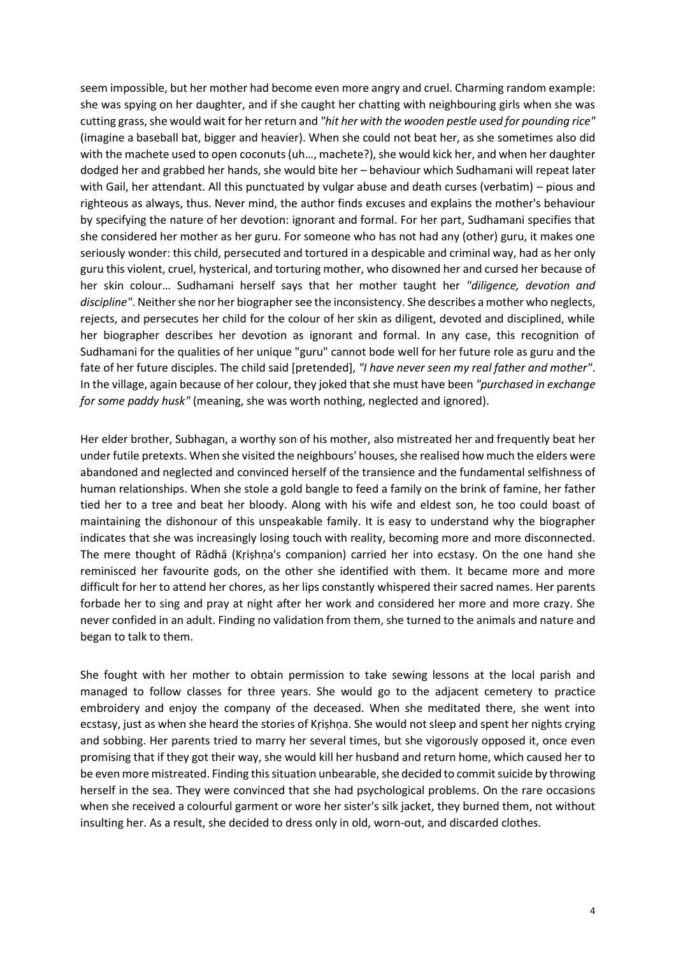seem impossible, but her mother had become even more angry and cruel. Charming random example: she was spying on her daughter, and if she caught her chatting with neighbouring girls when she was cutting grass, she would wait for her return and *"hit her with the wooden pestle used for pounding rice"* (imagine a baseball bat, bigger and heavier). When she could not beat her, as she sometimes also did with the machete used to open coconuts (uh…, machete?), she would kick her, and when her daughter dodged her and grabbed her hands, she would bite her – behaviour which Sudhamani will repeat later with Gail, her attendant. All this punctuated by vulgar abuse and death curses (verbatim) – pious and righteous as always, thus. Never mind, the author finds excuses and explains the mother's behaviour by specifying the nature of her devotion: ignorant and formal. For her part, Sudhamani specifies that she considered her mother as her guru. For someone who has not had any (other) guru, it makes one seriously wonder: this child, persecuted and tortured in a despicable and criminal way, had as her only guru this violent, cruel, hysterical, and torturing mother, who disowned her and cursed her because of her skin colour… Sudhamani herself says that her mother taught her *"diligence, devotion and discipline"*. Neither she nor her biographer see the inconsistency. She describes a mother who neglects, rejects, and persecutes her child for the colour of her skin as diligent, devoted and disciplined, while her biographer describes her devotion as ignorant and formal. In any case, this recognition of Sudhamani for the qualities of her unique "guru" cannot bode well for her future role as guru and the fate of her future disciples. The child said [pretended], *"I have never seen my real father and mother"*. In the village, again because of her colour, they joked that she must have been *"purchased in exchange for some paddy husk"* (meaning, she was worth nothing, neglected and ignored).

Her elder brother, Subhagan, a worthy son of his mother, also mistreated her and frequently beat her under futile pretexts. When she visited the neighbours' houses, she realised how much the elders were abandoned and neglected and convinced herself of the transience and the fundamental selfishness of human relationships. When she stole a gold bangle to feed a family on the brink of famine, her father tied her to a tree and beat her bloody. Along with his wife and eldest son, he too could boast of maintaining the dishonour of this unspeakable family. It is easy to understand why the biographer indicates that she was increasingly losing touch with reality, becoming more and more disconnected. The mere thought of Rādhā (Kṛiṣhṇa's companion) carried her into ecstasy. On the one hand she reminisced her favourite gods, on the other she identified with them. It became more and more difficult for her to attend her chores, as her lips constantly whispered their sacred names. Her parents forbade her to sing and pray at night after her work and considered her more and more crazy. She never confided in an adult. Finding no validation from them, she turned to the animals and nature and began to talk to them.

She fought with her mother to obtain permission to take sewing lessons at the local parish and managed to follow classes for three years. She would go to the adjacent cemetery to practice embroidery and enjoy the company of the deceased. When she meditated there, she went into ecstasy, just as when she heard the stories of Kṛiṣhṇa. She would not sleep and spent her nights crying and sobbing. Her parents tried to marry her several times, but she vigorously opposed it, once even promising that if they got their way, she would kill her husband and return home, which caused her to be even more mistreated. Finding this situation unbearable, she decided to commit suicide by throwing herself in the sea. They were convinced that she had psychological problems. On the rare occasions when she received a colourful garment or wore her sister's silk jacket, they burned them, not without insulting her. As a result, she decided to dress only in old, worn-out, and discarded clothes.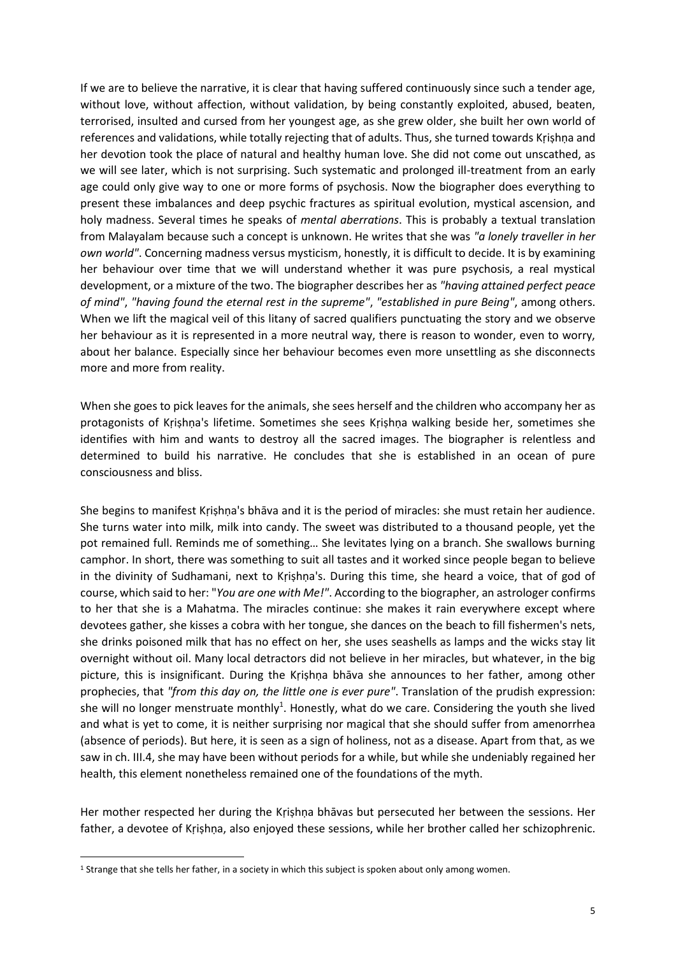If we are to believe the narrative, it is clear that having suffered continuously since such a tender age, without love, without affection, without validation, by being constantly exploited, abused, beaten, terrorised, insulted and cursed from her youngest age, as she grew older, she built her own world of references and validations, while totally rejecting that of adults. Thus, she turned towards Kṛiṣhṇa and her devotion took the place of natural and healthy human love. She did not come out unscathed, as we will see later, which is not surprising. Such systematic and prolonged ill-treatment from an early age could only give way to one or more forms of psychosis. Now the biographer does everything to present these imbalances and deep psychic fractures as spiritual evolution, mystical ascension, and holy madness. Several times he speaks of *mental aberrations*. This is probably a textual translation from Malayalam because such a concept is unknown. He writes that she was *"a lonely traveller in her own world"*. Concerning madness versus mysticism, honestly, it is difficult to decide. It is by examining her behaviour over time that we will understand whether it was pure psychosis, a real mystical development, or a mixture of the two. The biographer describes her as *"having attained perfect peace of mind"*, *"having found the eternal rest in the supreme"*, *"established in pure Being"*, among others. When we lift the magical veil of this litany of sacred qualifiers punctuating the story and we observe her behaviour as it is represented in a more neutral way, there is reason to wonder, even to worry, about her balance. Especially since her behaviour becomes even more unsettling as she disconnects more and more from reality.

When she goes to pick leaves for the animals, she sees herself and the children who accompany her as protagonists of Kṛiṣhṇa's lifetime. Sometimes she sees Kṛiṣhṇa walking beside her, sometimes she identifies with him and wants to destroy all the sacred images. The biographer is relentless and determined to build his narrative. He concludes that she is established in an ocean of pure consciousness and bliss.

She begins to manifest Kṛiṣhṇa's bhāva and it is the period of miracles: she must retain her audience. She turns water into milk, milk into candy. The sweet was distributed to a thousand people, yet the pot remained full. Reminds me of something… She levitates lying on a branch. She swallows burning camphor. In short, there was something to suit all tastes and it worked since people began to believe in the divinity of Sudhamani, next to Kṛiṣhṇa's. During this time, she heard a voice, that of god of course, which said to her: "*You are one with Me!"*. According to the biographer, an astrologer confirms to her that she is a Mahatma. The miracles continue: she makes it rain everywhere except where devotees gather, she kisses a cobra with her tongue, she dances on the beach to fill fishermen's nets, she drinks poisoned milk that has no effect on her, she uses seashells as lamps and the wicks stay lit overnight without oil. Many local detractors did not believe in her miracles, but whatever, in the big picture, this is insignificant. During the Kṛiṣhṇa bhāva she announces to her father, among other prophecies, that *"from this day on, the little one is ever pure"*. Translation of the prudish expression: she will no longer menstruate monthly<sup>1</sup>. Honestly, what do we care. Considering the youth she lived and what is yet to come, it is neither surprising nor magical that she should suffer from amenorrhea (absence of periods). But here, it is seen as a sign of holiness, not as a disease. Apart from that, as we saw in ch. III.4, she may have been without periods for a while, but while she undeniably regained her health, this element nonetheless remained one of the foundations of the myth.

Her mother respected her during the Kṛiṣhṇa bhāvas but persecuted her between the sessions. Her father, a devotee of Kṛiṣhṇa, also enjoyed these sessions, while her brother called her schizophrenic.

<sup>&</sup>lt;sup>1</sup> Strange that she tells her father, in a society in which this subject is spoken about only among women.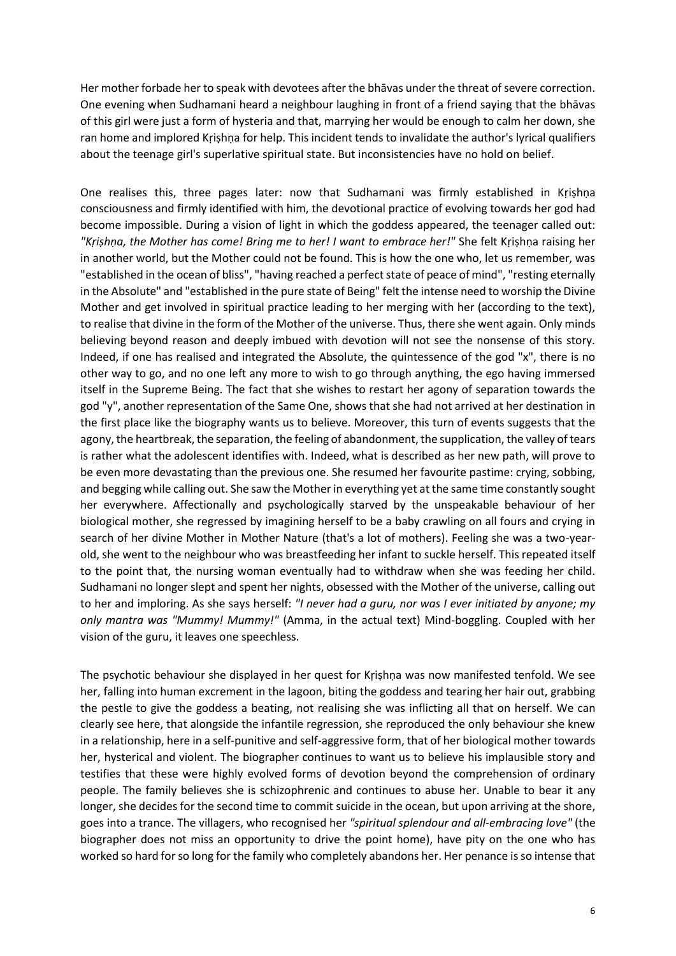Her mother forbade her to speak with devotees after the bhāvas under the threat of severe correction. One evening when Sudhamani heard a neighbour laughing in front of a friend saying that the bhāvas of this girl were just a form of hysteria and that, marrying her would be enough to calm her down, she ran home and implored Kṛiṣhṇa for help. This incident tends to invalidate the author's lyrical qualifiers about the teenage girl's superlative spiritual state. But inconsistencies have no hold on belief.

One realises this, three pages later: now that Sudhamani was firmly established in Kṛiṣhṇa consciousness and firmly identified with him, the devotional practice of evolving towards her god had become impossible. During a vision of light in which the goddess appeared, the teenager called out: *"Kṛiṣhṇa, the Mother has come! Bring me to her! I want to embrace her!"* She felt Kṛiṣhṇa raising her in another world, but the Mother could not be found. This is how the one who, let us remember, was "established in the ocean of bliss", "having reached a perfect state of peace of mind", "resting eternally in the Absolute" and "established in the pure state of Being" felt the intense need to worship the Divine Mother and get involved in spiritual practice leading to her merging with her (according to the text), to realise that divine in the form of the Mother of the universe. Thus, there she went again. Only minds believing beyond reason and deeply imbued with devotion will not see the nonsense of this story. Indeed, if one has realised and integrated the Absolute, the quintessence of the god "x", there is no other way to go, and no one left any more to wish to go through anything, the ego having immersed itself in the Supreme Being. The fact that she wishes to restart her agony of separation towards the god "y", another representation of the Same One, shows that she had not arrived at her destination in the first place like the biography wants us to believe. Moreover, this turn of events suggests that the agony, the heartbreak, the separation, the feeling of abandonment, the supplication, the valley of tears is rather what the adolescent identifies with. Indeed, what is described as her new path, will prove to be even more devastating than the previous one. She resumed her favourite pastime: crying, sobbing, and begging while calling out. She saw the Mother in everything yet at the same time constantly sought her everywhere. Affectionally and psychologically starved by the unspeakable behaviour of her biological mother, she regressed by imagining herself to be a baby crawling on all fours and crying in search of her divine Mother in Mother Nature (that's a lot of mothers). Feeling she was a two-yearold, she went to the neighbour who was breastfeeding her infant to suckle herself. This repeated itself to the point that, the nursing woman eventually had to withdraw when she was feeding her child. Sudhamani no longer slept and spent her nights, obsessed with the Mother of the universe, calling out to her and imploring. As she says herself: *"I never had a guru, nor was I ever initiated by anyone; my only mantra was "Mummy! Mummy!"* (Amma, in the actual text) Mind-boggling. Coupled with her vision of the guru, it leaves one speechless.

The psychotic behaviour she displayed in her quest for Kṛiṣhṇa was now manifested tenfold. We see her, falling into human excrement in the lagoon, biting the goddess and tearing her hair out, grabbing the pestle to give the goddess a beating, not realising she was inflicting all that on herself. We can clearly see here, that alongside the infantile regression, she reproduced the only behaviour she knew in a relationship, here in a self-punitive and self-aggressive form, that of her biological mother towards her, hysterical and violent. The biographer continues to want us to believe his implausible story and testifies that these were highly evolved forms of devotion beyond the comprehension of ordinary people. The family believes she is schizophrenic and continues to abuse her. Unable to bear it any longer, she decides for the second time to commit suicide in the ocean, but upon arriving at the shore, goes into a trance. The villagers, who recognised her *"spiritual splendour and all-embracing love"* (the biographer does not miss an opportunity to drive the point home), have pity on the one who has worked so hard for so long for the family who completely abandons her. Her penance is so intense that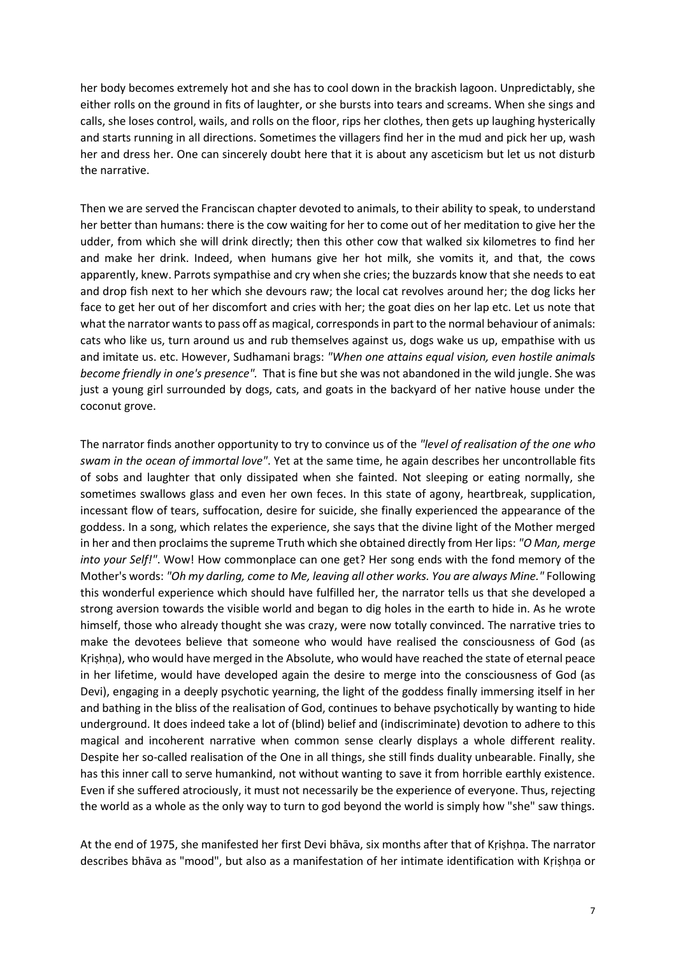her body becomes extremely hot and she has to cool down in the brackish lagoon. Unpredictably, she either rolls on the ground in fits of laughter, or she bursts into tears and screams. When she sings and calls, she loses control, wails, and rolls on the floor, rips her clothes, then gets up laughing hysterically and starts running in all directions. Sometimes the villagers find her in the mud and pick her up, wash her and dress her. One can sincerely doubt here that it is about any asceticism but let us not disturb the narrative.

Then we are served the Franciscan chapter devoted to animals, to their ability to speak, to understand her better than humans: there is the cow waiting for her to come out of her meditation to give her the udder, from which she will drink directly; then this other cow that walked six kilometres to find her and make her drink. Indeed, when humans give her hot milk, she vomits it, and that, the cows apparently, knew. Parrots sympathise and cry when she cries; the buzzards know that she needs to eat and drop fish next to her which she devours raw; the local cat revolves around her; the dog licks her face to get her out of her discomfort and cries with her; the goat dies on her lap etc. Let us note that what the narrator wants to pass off as magical, corresponds in part to the normal behaviour of animals: cats who like us, turn around us and rub themselves against us, dogs wake us up, empathise with us and imitate us. etc. However, Sudhamani brags: *"When one attains equal vision, even hostile animals become friendly in one's presence".* That is fine but she was not abandoned in the wild jungle. She was just a young girl surrounded by dogs, cats, and goats in the backyard of her native house under the coconut grove.

The narrator finds another opportunity to try to convince us of the *"level of realisation of the one who swam in the ocean of immortal love"*. Yet at the same time, he again describes her uncontrollable fits of sobs and laughter that only dissipated when she fainted. Not sleeping or eating normally, she sometimes swallows glass and even her own feces. In this state of agony, heartbreak, supplication, incessant flow of tears, suffocation, desire for suicide, she finally experienced the appearance of the goddess. In a song, which relates the experience, she says that the divine light of the Mother merged in her and then proclaims the supreme Truth which she obtained directly from Her lips: *"O Man, merge into your Self!"*. Wow! How commonplace can one get? Her song ends with the fond memory of the Mother's words: *"Oh my darling, come to Me, leaving all other works. You are always Mine."* Following this wonderful experience which should have fulfilled her, the narrator tells us that she developed a strong aversion towards the visible world and began to dig holes in the earth to hide in. As he wrote himself, those who already thought she was crazy, were now totally convinced. The narrative tries to make the devotees believe that someone who would have realised the consciousness of God (as Kṛiṣhṇa), who would have merged in the Absolute, who would have reached the state of eternal peace in her lifetime, would have developed again the desire to merge into the consciousness of God (as Devi), engaging in a deeply psychotic yearning, the light of the goddess finally immersing itself in her and bathing in the bliss of the realisation of God, continues to behave psychotically by wanting to hide underground. It does indeed take a lot of (blind) belief and (indiscriminate) devotion to adhere to this magical and incoherent narrative when common sense clearly displays a whole different reality. Despite her so-called realisation of the One in all things, she still finds duality unbearable. Finally, she has this inner call to serve humankind, not without wanting to save it from horrible earthly existence. Even if she suffered atrociously, it must not necessarily be the experience of everyone. Thus, rejecting the world as a whole as the only way to turn to god beyond the world is simply how "she" saw things.

At the end of 1975, she manifested her first Devi bhāva, six months after that of Kṛiṣhṇa. The narrator describes bhāva as "mood", but also as a manifestation of her intimate identification with Kṛiṣhṇa or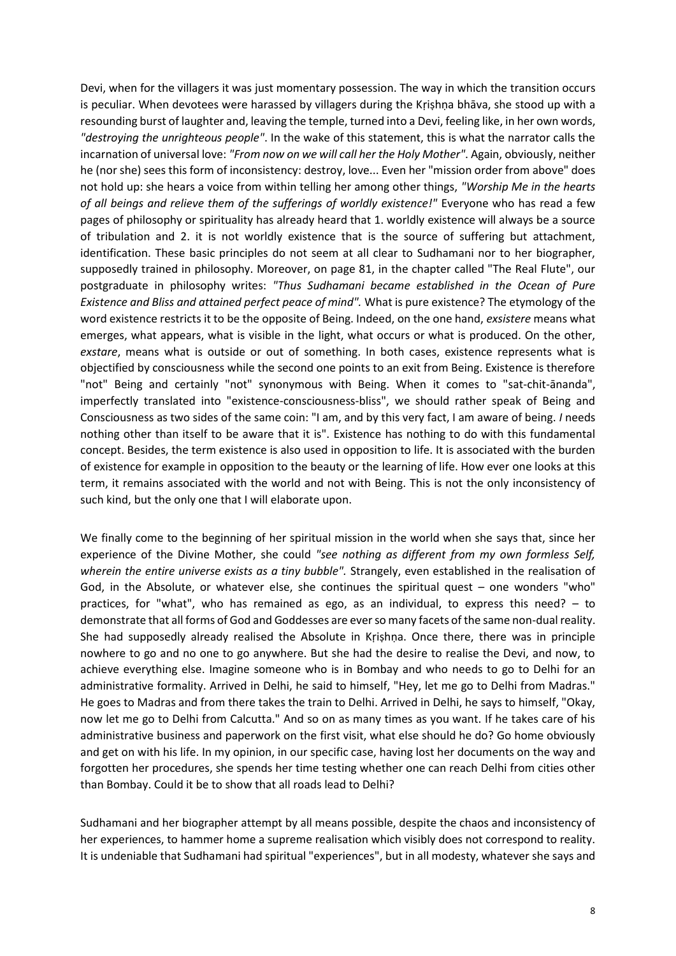Devi, when for the villagers it was just momentary possession. The way in which the transition occurs is peculiar. When devotees were harassed by villagers during the Kṛiṣhṇa bhāva, she stood up with a resounding burst of laughter and, leaving the temple, turned into a Devi, feeling like, in her own words, *"destroying the unrighteous people"*. In the wake of this statement, this is what the narrator calls the incarnation of universal love: *"From now on we will call her the Holy Mother"*. Again, obviously, neither he (nor she) sees this form of inconsistency: destroy, love... Even her "mission order from above" does not hold up: she hears a voice from within telling her among other things, *"Worship Me in the hearts of all beings and relieve them of the sufferings of worldly existence!"* Everyone who has read a few pages of philosophy or spirituality has already heard that 1. worldly existence will always be a source of tribulation and 2. it is not worldly existence that is the source of suffering but attachment, identification. These basic principles do not seem at all clear to Sudhamani nor to her biographer, supposedly trained in philosophy. Moreover, on page 81, in the chapter called "The Real Flute", our postgraduate in philosophy writes: *"Thus Sudhamani became established in the Ocean of Pure Existence and Bliss and attained perfect peace of mind".* What is pure existence? The etymology of the word existence restricts it to be the opposite of Being. Indeed, on the one hand, *exsistere* means what emerges, what appears, what is visible in the light, what occurs or what is produced. On the other, *exstare*, means what is outside or out of something. In both cases, existence represents what is objectified by consciousness while the second one points to an exit from Being. Existence is therefore "not" Being and certainly "not" synonymous with Being. When it comes to "sat-chit-ānanda", imperfectly translated into "existence-consciousness-bliss", we should rather speak of Being and Consciousness as two sides of the same coin: "I am, and by this very fact, I am aware of being. *I* needs nothing other than itself to be aware that it is". Existence has nothing to do with this fundamental concept. Besides, the term existence is also used in opposition to life. It is associated with the burden of existence for example in opposition to the beauty or the learning of life. How ever one looks at this term, it remains associated with the world and not with Being. This is not the only inconsistency of such kind, but the only one that I will elaborate upon.

We finally come to the beginning of her spiritual mission in the world when she says that, since her experience of the Divine Mother, she could *"see nothing as different from my own formless Self, wherein the entire universe exists as a tiny bubble".* Strangely, even established in the realisation of God, in the Absolute, or whatever else, she continues the spiritual quest – one wonders "who" practices, for "what", who has remained as ego, as an individual, to express this need? – to demonstrate that all forms of God and Goddesses are ever so many facets of the same non-dual reality. She had supposedly already realised the Absolute in Kṛiṣhṇa. Once there, there was in principle nowhere to go and no one to go anywhere. But she had the desire to realise the Devi, and now, to achieve everything else. Imagine someone who is in Bombay and who needs to go to Delhi for an administrative formality. Arrived in Delhi, he said to himself, "Hey, let me go to Delhi from Madras." He goes to Madras and from there takes the train to Delhi. Arrived in Delhi, he says to himself, "Okay, now let me go to Delhi from Calcutta." And so on as many times as you want. If he takes care of his administrative business and paperwork on the first visit, what else should he do? Go home obviously and get on with his life. In my opinion, in our specific case, having lost her documents on the way and forgotten her procedures, she spends her time testing whether one can reach Delhi from cities other than Bombay. Could it be to show that all roads lead to Delhi?

Sudhamani and her biographer attempt by all means possible, despite the chaos and inconsistency of her experiences, to hammer home a supreme realisation which visibly does not correspond to reality. It is undeniable that Sudhamani had spiritual "experiences", but in all modesty, whatever she says and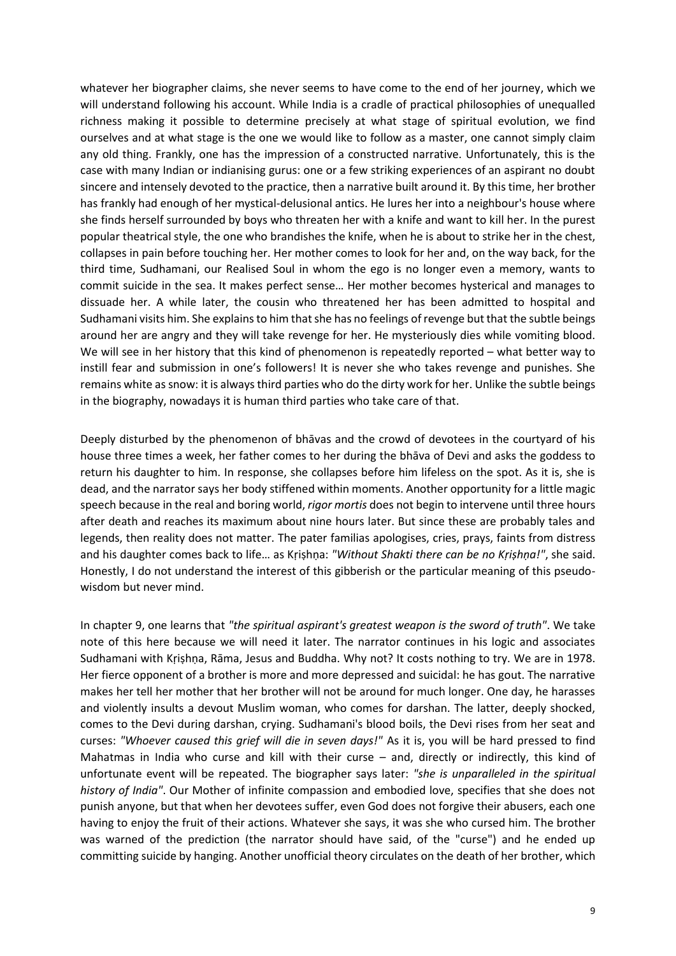whatever her biographer claims, she never seems to have come to the end of her journey, which we will understand following his account. While India is a cradle of practical philosophies of unequalled richness making it possible to determine precisely at what stage of spiritual evolution, we find ourselves and at what stage is the one we would like to follow as a master, one cannot simply claim any old thing. Frankly, one has the impression of a constructed narrative. Unfortunately, this is the case with many Indian or indianising gurus: one or a few striking experiences of an aspirant no doubt sincere and intensely devoted to the practice, then a narrative built around it. By this time, her brother has frankly had enough of her mystical-delusional antics. He lures her into a neighbour's house where she finds herself surrounded by boys who threaten her with a knife and want to kill her. In the purest popular theatrical style, the one who brandishes the knife, when he is about to strike her in the chest, collapses in pain before touching her. Her mother comes to look for her and, on the way back, for the third time, Sudhamani, our Realised Soul in whom the ego is no longer even a memory, wants to commit suicide in the sea. It makes perfect sense… Her mother becomes hysterical and manages to dissuade her. A while later, the cousin who threatened her has been admitted to hospital and Sudhamani visits him. She explains to him that she has no feelings of revenge but that the subtle beings around her are angry and they will take revenge for her. He mysteriously dies while vomiting blood. We will see in her history that this kind of phenomenon is repeatedly reported – what better way to instill fear and submission in one's followers! It is never she who takes revenge and punishes. She remains white as snow: it is always third parties who do the dirty work for her. Unlike the subtle beings in the biography, nowadays it is human third parties who take care of that.

Deeply disturbed by the phenomenon of bhāvas and the crowd of devotees in the courtyard of his house three times a week, her father comes to her during the bhāva of Devi and asks the goddess to return his daughter to him. In response, she collapses before him lifeless on the spot. As it is, she is dead, and the narrator says her body stiffened within moments. Another opportunity for a little magic speech because in the real and boring world, *rigor mortis* does not begin to intervene until three hours after death and reaches its maximum about nine hours later. But since these are probably tales and legends, then reality does not matter. The pater familias apologises, cries, prays, faints from distress and his daughter comes back to life… as Kṛiṣhṇa: *"Without Shakti there can be no Kṛiṣhṇa!"*, she said. Honestly, I do not understand the interest of this gibberish or the particular meaning of this pseudowisdom but never mind.

In chapter 9, one learns that *"the spiritual aspirant's greatest weapon is the sword of truth"*. We take note of this here because we will need it later. The narrator continues in his logic and associates Sudhamani with Kṛiṣhṇa, Rāma, Jesus and Buddha. Why not? It costs nothing to try. We are in 1978. Her fierce opponent of a brother is more and more depressed and suicidal: he has gout. The narrative makes her tell her mother that her brother will not be around for much longer. One day, he harasses and violently insults a devout Muslim woman, who comes for darshan. The latter, deeply shocked, comes to the Devi during darshan, crying. Sudhamani's blood boils, the Devi rises from her seat and curses: *"Whoever caused this grief will die in seven days!"* As it is, you will be hard pressed to find Mahatmas in India who curse and kill with their curse – and, directly or indirectly, this kind of unfortunate event will be repeated. The biographer says later: *"she is unparalleled in the spiritual history of India"*. Our Mother of infinite compassion and embodied love, specifies that she does not punish anyone, but that when her devotees suffer, even God does not forgive their abusers, each one having to enjoy the fruit of their actions. Whatever she says, it was she who cursed him. The brother was warned of the prediction (the narrator should have said, of the "curse") and he ended up committing suicide by hanging. Another unofficial theory circulates on the death of her brother, which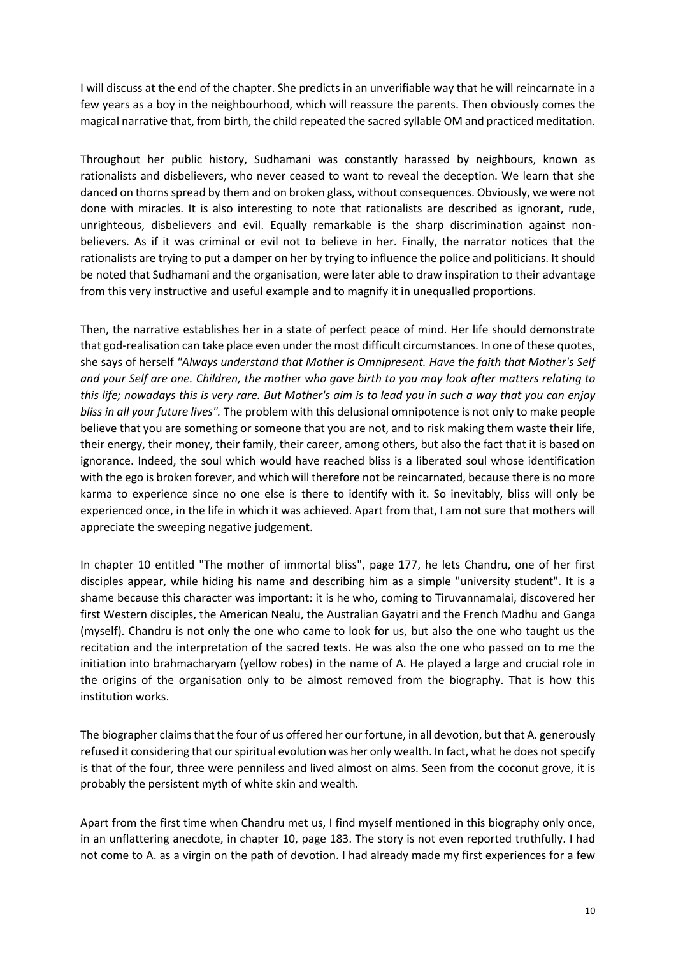I will discuss at the end of the chapter. She predicts in an unverifiable way that he will reincarnate in a few years as a boy in the neighbourhood, which will reassure the parents. Then obviously comes the magical narrative that, from birth, the child repeated the sacred syllable OM and practiced meditation.

Throughout her public history, Sudhamani was constantly harassed by neighbours, known as rationalists and disbelievers, who never ceased to want to reveal the deception. We learn that she danced on thorns spread by them and on broken glass, without consequences. Obviously, we were not done with miracles. It is also interesting to note that rationalists are described as ignorant, rude, unrighteous, disbelievers and evil. Equally remarkable is the sharp discrimination against nonbelievers. As if it was criminal or evil not to believe in her. Finally, the narrator notices that the rationalists are trying to put a damper on her by trying to influence the police and politicians. It should be noted that Sudhamani and the organisation, were later able to draw inspiration to their advantage from this very instructive and useful example and to magnify it in unequalled proportions.

Then, the narrative establishes her in a state of perfect peace of mind. Her life should demonstrate that god-realisation can take place even under the most difficult circumstances. In one of these quotes, she says of herself *"Always understand that Mother is Omnipresent. Have the faith that Mother's Self and your Self are one. Children, the mother who gave birth to you may look after matters relating to this life; nowadays this is very rare. But Mother's aim is to lead you in such a way that you can enjoy bliss in all your future lives".* The problem with this delusional omnipotence is not only to make people believe that you are something or someone that you are not, and to risk making them waste their life, their energy, their money, their family, their career, among others, but also the fact that it is based on ignorance. Indeed, the soul which would have reached bliss is a liberated soul whose identification with the ego is broken forever, and which will therefore not be reincarnated, because there is no more karma to experience since no one else is there to identify with it. So inevitably, bliss will only be experienced once, in the life in which it was achieved. Apart from that, I am not sure that mothers will appreciate the sweeping negative judgement.

In chapter 10 entitled "The mother of immortal bliss", page 177, he lets Chandru, one of her first disciples appear, while hiding his name and describing him as a simple "university student". It is a shame because this character was important: it is he who, coming to Tiruvannamalai, discovered her first Western disciples, the American Nealu, the Australian Gayatri and the French Madhu and Ganga (myself). Chandru is not only the one who came to look for us, but also the one who taught us the recitation and the interpretation of the sacred texts. He was also the one who passed on to me the initiation into brahmacharyam (yellow robes) in the name of A. He played a large and crucial role in the origins of the organisation only to be almost removed from the biography. That is how this institution works.

The biographer claims that the four of us offered her our fortune, in all devotion, but that A. generously refused it considering that our spiritual evolution was her only wealth. In fact, what he does not specify is that of the four, three were penniless and lived almost on alms. Seen from the coconut grove, it is probably the persistent myth of white skin and wealth.

Apart from the first time when Chandru met us, I find myself mentioned in this biography only once, in an unflattering anecdote, in chapter 10, page 183. The story is not even reported truthfully. I had not come to A. as a virgin on the path of devotion. I had already made my first experiences for a few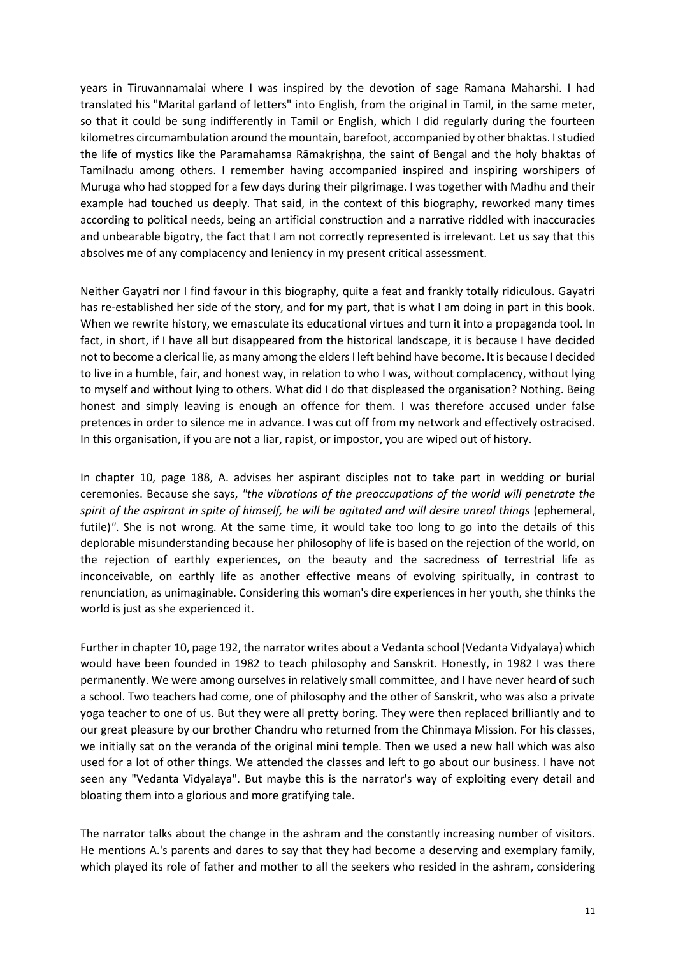years in Tiruvannamalai where I was inspired by the devotion of sage Ramana Maharshi. I had translated his "Marital garland of letters" into English, from the original in Tamil, in the same meter, so that it could be sung indifferently in Tamil or English, which I did regularly during the fourteen kilometres circumambulation around the mountain, barefoot, accompanied by other bhaktas. I studied the life of mystics like the Paramahamsa Rāmakṛiṣhṇa, the saint of Bengal and the holy bhaktas of Tamilnadu among others. I remember having accompanied inspired and inspiring worshipers of Muruga who had stopped for a few days during their pilgrimage. I was together with Madhu and their example had touched us deeply. That said, in the context of this biography, reworked many times according to political needs, being an artificial construction and a narrative riddled with inaccuracies and unbearable bigotry, the fact that I am not correctly represented is irrelevant. Let us say that this absolves me of any complacency and leniency in my present critical assessment.

Neither Gayatri nor I find favour in this biography, quite a feat and frankly totally ridiculous. Gayatri has re-established her side of the story, and for my part, that is what I am doing in part in this book. When we rewrite history, we emasculate its educational virtues and turn it into a propaganda tool. In fact, in short, if I have all but disappeared from the historical landscape, it is because I have decided not to become a clerical lie, as many among the elders I left behind have become. It is because I decided to live in a humble, fair, and honest way, in relation to who I was, without complacency, without lying to myself and without lying to others. What did I do that displeased the organisation? Nothing. Being honest and simply leaving is enough an offence for them. I was therefore accused under false pretences in order to silence me in advance. I was cut off from my network and effectively ostracised. In this organisation, if you are not a liar, rapist, or impostor, you are wiped out of history.

In chapter 10, page 188, A. advises her aspirant disciples not to take part in wedding or burial ceremonies. Because she says, *"the vibrations of the preoccupations of the world will penetrate the*  spirit of the aspirant in spite of himself, he will be agitated and will desire unreal things (ephemeral, futile)*"*. She is not wrong. At the same time, it would take too long to go into the details of this deplorable misunderstanding because her philosophy of life is based on the rejection of the world, on the rejection of earthly experiences, on the beauty and the sacredness of terrestrial life as inconceivable, on earthly life as another effective means of evolving spiritually, in contrast to renunciation, as unimaginable. Considering this woman's dire experiences in her youth, she thinks the world is just as she experienced it.

Further in chapter 10, page 192, the narrator writes about a Vedanta school (Vedanta Vidyalaya) which would have been founded in 1982 to teach philosophy and Sanskrit. Honestly, in 1982 I was there permanently. We were among ourselves in relatively small committee, and I have never heard of such a school. Two teachers had come, one of philosophy and the other of Sanskrit, who was also a private yoga teacher to one of us. But they were all pretty boring. They were then replaced brilliantly and to our great pleasure by our brother Chandru who returned from the Chinmaya Mission. For his classes, we initially sat on the veranda of the original mini temple. Then we used a new hall which was also used for a lot of other things. We attended the classes and left to go about our business. I have not seen any "Vedanta Vidyalaya". But maybe this is the narrator's way of exploiting every detail and bloating them into a glorious and more gratifying tale.

The narrator talks about the change in the ashram and the constantly increasing number of visitors. He mentions A.'s parents and dares to say that they had become a deserving and exemplary family, which played its role of father and mother to all the seekers who resided in the ashram, considering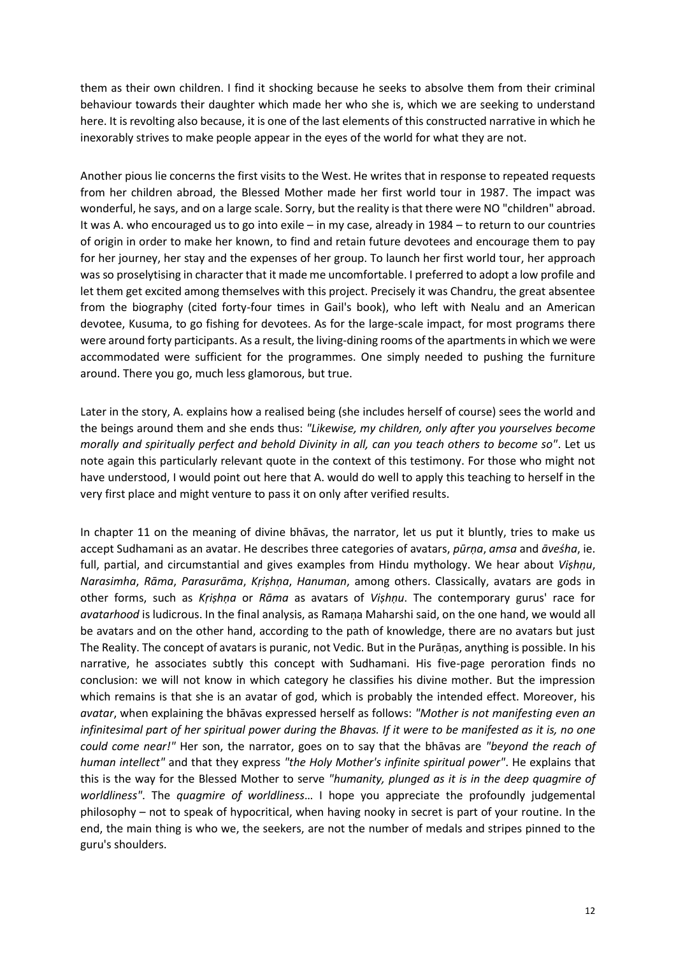them as their own children. I find it shocking because he seeks to absolve them from their criminal behaviour towards their daughter which made her who she is, which we are seeking to understand here. It is revolting also because, it is one of the last elements of this constructed narrative in which he inexorably strives to make people appear in the eyes of the world for what they are not.

Another pious lie concerns the first visits to the West. He writes that in response to repeated requests from her children abroad, the Blessed Mother made her first world tour in 1987. The impact was wonderful, he says, and on a large scale. Sorry, but the reality is that there were NO "children" abroad. It was A. who encouraged us to go into exile – in my case, already in 1984 – to return to our countries of origin in order to make her known, to find and retain future devotees and encourage them to pay for her journey, her stay and the expenses of her group. To launch her first world tour, her approach was so proselytising in character that it made me uncomfortable. I preferred to adopt a low profile and let them get excited among themselves with this project. Precisely it was Chandru, the great absentee from the biography (cited forty-four times in Gail's book), who left with Nealu and an American devotee, Kusuma, to go fishing for devotees. As for the large-scale impact, for most programs there were around forty participants. As a result, the living-dining rooms of the apartments in which we were accommodated were sufficient for the programmes. One simply needed to pushing the furniture around. There you go, much less glamorous, but true.

Later in the story, A. explains how a realised being (she includes herself of course) sees the world and the beings around them and she ends thus: *"Likewise, my children, only after you yourselves become morally and spiritually perfect and behold Divinity in all, can you teach others to become so"*. Let us note again this particularly relevant quote in the context of this testimony. For those who might not have understood, I would point out here that A. would do well to apply this teaching to herself in the very first place and might venture to pass it on only after verified results.

In chapter 11 on the meaning of divine bhāvas, the narrator, let us put it bluntly, tries to make us accept Sudhamani as an avatar. He describes three categories of avatars, *pūrṇa*, *amsa* and *āveśha*, ie. full, partial, and circumstantial and gives examples from Hindu mythology. We hear about *Viṣhṇu*, *Narasimha*, *Rāma*, *Parasurāma*, *Kṛiṣhṇa*, *Hanuman*, among others. Classically, avatars are gods in other forms, such as *Kṛiṣhṇa* or *Rāma* as avatars of *Viṣhṇu*. The contemporary gurus' race for *avatarhood* is ludicrous. In the final analysis, as Ramaṇa Maharshi said, on the one hand, we would all be avatars and on the other hand, according to the path of knowledge, there are no avatars but just The Reality. The concept of avatars is puranic, not Vedic. But in the Purāṇas, anything is possible. In his narrative, he associates subtly this concept with Sudhamani. His five-page peroration finds no conclusion: we will not know in which category he classifies his divine mother. But the impression which remains is that she is an avatar of god, which is probably the intended effect. Moreover, his *avatar*, when explaining the bhāvas expressed herself as follows: *"Mother is not manifesting even an infinitesimal part of her spiritual power during the Bhavas. If it were to be manifested as it is, no one could come near!"* Her son, the narrator, goes on to say that the bhāvas are *"beyond the reach of human intellect"* and that they express *"the Holy Mother's infinite spiritual power"*. He explains that this is the way for the Blessed Mother to serve *"humanity, plunged as it is in the deep quagmire of worldliness"*. The *quagmire of worldliness*… I hope you appreciate the profoundly judgemental philosophy – not to speak of hypocritical, when having nooky in secret is part of your routine. In the end, the main thing is who we, the seekers, are not the number of medals and stripes pinned to the guru's shoulders.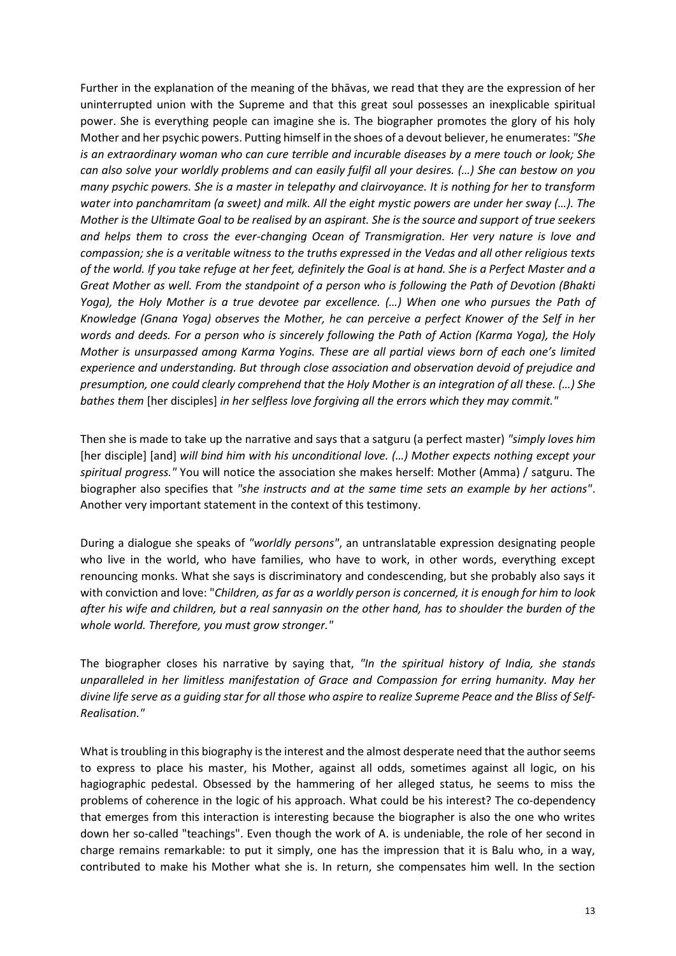Further in the explanation of the meaning of the bhāvas, we read that they are the expression of her uninterrupted union with the Supreme and that this great soul possesses an inexplicable spiritual power. She is everything people can imagine she is. The biographer promotes the glory of his holy Mother and her psychic powers. Putting himself in the shoes of a devout believer, he enumerates: *"She is an extraordinary woman who can cure terrible and incurable diseases by a mere touch or look; She can also solve your worldly problems and can easily fulfil all your desires. (…) She can bestow on you many psychic powers. She is a master in telepathy and clairvoyance. It is nothing for her to transform water into panchamritam (a sweet) and milk. All the eight mystic powers are under her sway (…). The Mother is the Ultimate Goal to be realised by an aspirant. She is the source and support of true seekers and helps them to cross the ever-changing Ocean of Transmigration. Her very nature is love and compassion; she is a veritable witness to the truths expressed in the Vedas and all other religious texts of the world. If you take refuge at her feet, definitely the Goal is at hand. She is a Perfect Master and a Great Mother as well. From the standpoint of a person who is following the Path of Devotion (Bhakti Yoga), the Holy Mother is a true devotee par excellence. (…) When one who pursues the Path of Knowledge (Gnana Yoga) observes the Mother, he can perceive a perfect Knower of the Self in her words and deeds. For a person who is sincerely following the Path of Action (Karma Yoga), the Holy Mother is unsurpassed among Karma Yogins. These are all partial views born of each one's limited experience and understanding. But through close association and observation devoid of prejudice and presumption, one could clearly comprehend that the Holy Mother is an integration of all these. (…) She bathes them* [her disciples] *in her selfless love forgiving all the errors which they may commit."*

Then she is made to take up the narrative and says that a satguru (a perfect master) *"simply loves him*  [her disciple] [and] *will bind him with his unconditional love. (…) Mother expects nothing except your spiritual progress."* You will notice the association she makes herself: Mother (Amma) / satguru. The biographer also specifies that *"she instructs and at the same time sets an example by her actions"*. Another very important statement in the context of this testimony.

During a dialogue she speaks of *"worldly persons"*, an untranslatable expression designating people who live in the world, who have families, who have to work, in other words, everything except renouncing monks. What she says is discriminatory and condescending, but she probably also says it with conviction and love: "*Children, as far as a worldly person is concerned, it is enough for him to look after his wife and children, but a real sannyasin on the other hand, has to shoulder the burden of the whole world. Therefore, you must grow stronger."* 

The biographer closes his narrative by saying that, *"In the spiritual history of India, she stands unparalleled in her limitless manifestation of Grace and Compassion for erring humanity. May her divine life serve as a guiding star for all those who aspire to realize Supreme Peace and the Bliss of Self-Realisation."*

What is troubling in this biography is the interest and the almost desperate need that the author seems to express to place his master, his Mother, against all odds, sometimes against all logic, on his hagiographic pedestal. Obsessed by the hammering of her alleged status, he seems to miss the problems of coherence in the logic of his approach. What could be his interest? The co-dependency that emerges from this interaction is interesting because the biographer is also the one who writes down her so-called "teachings". Even though the work of A. is undeniable, the role of her second in charge remains remarkable: to put it simply, one has the impression that it is Balu who, in a way, contributed to make his Mother what she is. In return, she compensates him well. In the section